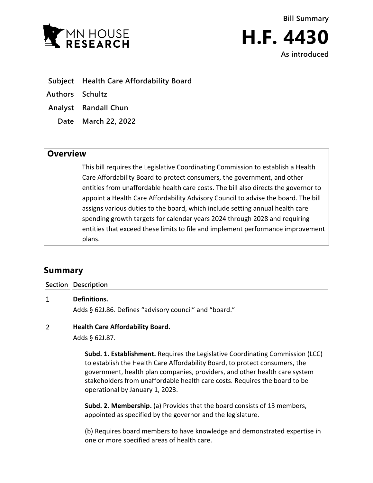



- **Subject Health Care Affordability Board**
- **Authors Schultz**
- **Analyst Randall Chun**
	- **Date March 22, 2022**

## **Overview**

This bill requires the Legislative Coordinating Commission to establish a Health Care Affordability Board to protect consumers, the government, and other entities from unaffordable health care costs. The bill also directs the governor to appoint a Health Care Affordability Advisory Council to advise the board. The bill assigns various duties to the board, which include setting annual health care spending growth targets for calendar years 2024 through 2028 and requiring entities that exceed these limits to file and implement performance improvement plans.

# **Summary**

### **Section Description**

 $\mathbf{1}$ **Definitions.** Adds § 62J.86. Defines "advisory council" and "board."

#### $\overline{2}$ **Health Care Affordability Board.**

Adds § 62J.87.

**Subd. 1. Establishment.** Requires the Legislative Coordinating Commission (LCC) to establish the Health Care Affordability Board, to protect consumers, the government, health plan companies, providers, and other health care system stakeholders from unaffordable health care costs. Requires the board to be operational by January 1, 2023.

**Subd. 2. Membership.** (a) Provides that the board consists of 13 members, appointed as specified by the governor and the legislature.

(b) Requires board members to have knowledge and demonstrated expertise in one or more specified areas of health care.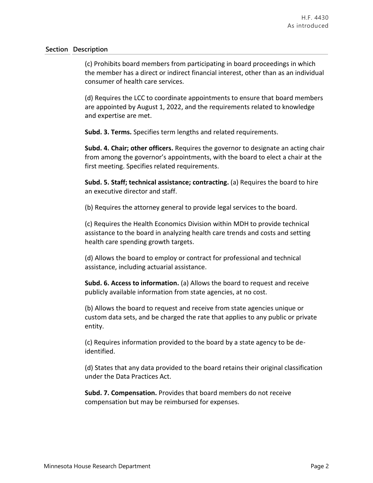(c) Prohibits board members from participating in board proceedings in which the member has a direct or indirect financial interest, other than as an individual consumer of health care services.

(d) Requires the LCC to coordinate appointments to ensure that board members are appointed by August 1, 2022, and the requirements related to knowledge and expertise are met.

**Subd. 3. Terms.** Specifies term lengths and related requirements.

**Subd. 4. Chair; other officers.** Requires the governor to designate an acting chair from among the governor's appointments, with the board to elect a chair at the first meeting. Specifies related requirements.

**Subd. 5. Staff; technical assistance; contracting.** (a) Requires the board to hire an executive director and staff.

(b) Requires the attorney general to provide legal services to the board.

(c) Requires the Health Economics Division within MDH to provide technical assistance to the board in analyzing health care trends and costs and setting health care spending growth targets.

(d) Allows the board to employ or contract for professional and technical assistance, including actuarial assistance.

**Subd. 6. Access to information.** (a) Allows the board to request and receive publicly available information from state agencies, at no cost.

(b) Allows the board to request and receive from state agencies unique or custom data sets, and be charged the rate that applies to any public or private entity.

(c) Requires information provided to the board by a state agency to be deidentified.

(d) States that any data provided to the board retains their original classification under the Data Practices Act.

**Subd. 7. Compensation.** Provides that board members do not receive compensation but may be reimbursed for expenses.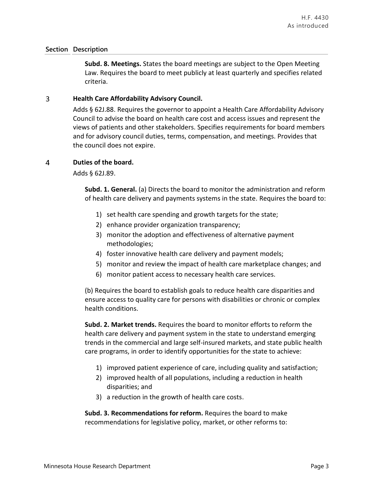**Subd. 8. Meetings.** States the board meetings are subject to the Open Meeting Law. Requires the board to meet publicly at least quarterly and specifies related criteria.

#### 3 **Health Care Affordability Advisory Council.**

Adds § 62J.88. Requires the governor to appoint a Health Care Affordability Advisory Council to advise the board on health care cost and access issues and represent the views of patients and other stakeholders. Specifies requirements for board members and for advisory council duties, terms, compensation, and meetings. Provides that the council does not expire.

#### $\overline{a}$ **Duties of the board.**

Adds § 62J.89.

**Subd. 1. General.** (a) Directs the board to monitor the administration and reform of health care delivery and payments systems in the state. Requires the board to:

- 1) set health care spending and growth targets for the state;
- 2) enhance provider organization transparency;
- 3) monitor the adoption and effectiveness of alternative payment methodologies;
- 4) foster innovative health care delivery and payment models;
- 5) monitor and review the impact of health care marketplace changes; and
- 6) monitor patient access to necessary health care services.

(b) Requires the board to establish goals to reduce health care disparities and ensure access to quality care for persons with disabilities or chronic or complex health conditions.

**Subd. 2. Market trends.** Requires the board to monitor efforts to reform the health care delivery and payment system in the state to understand emerging trends in the commercial and large self-insured markets, and state public health care programs, in order to identify opportunities for the state to achieve:

- 1) improved patient experience of care, including quality and satisfaction;
- 2) improved health of all populations, including a reduction in health disparities; and
- 3) a reduction in the growth of health care costs.

**Subd. 3. Recommendations for reform.** Requires the board to make recommendations for legislative policy, market, or other reforms to: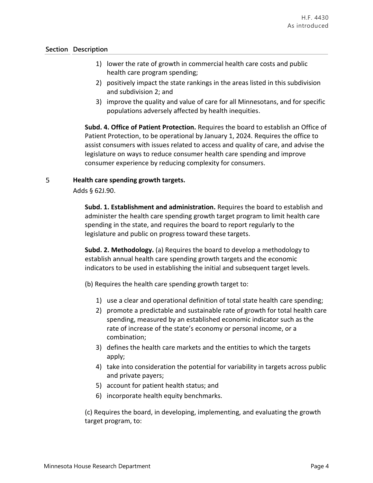- 1) lower the rate of growth in commercial health care costs and public health care program spending;
- 2) positively impact the state rankings in the areas listed in this subdivision and subdivision 2; and
- 3) improve the quality and value of care for all Minnesotans, and for specific populations adversely affected by health inequities.

**Subd. 4. Office of Patient Protection.** Requires the board to establish an Office of Patient Protection, to be operational by January 1, 2024. Requires the office to assist consumers with issues related to access and quality of care, and advise the legislature on ways to reduce consumer health care spending and improve consumer experience by reducing complexity for consumers.

#### 5 **Health care spending growth targets.**

Adds § 62J.90.

**Subd. 1. Establishment and administration.** Requires the board to establish and administer the health care spending growth target program to limit health care spending in the state, and requires the board to report regularly to the legislature and public on progress toward these targets.

**Subd. 2. Methodology.** (a) Requires the board to develop a methodology to establish annual health care spending growth targets and the economic indicators to be used in establishing the initial and subsequent target levels.

(b) Requires the health care spending growth target to:

- 1) use a clear and operational definition of total state health care spending;
- 2) promote a predictable and sustainable rate of growth for total health care spending, measured by an established economic indicator such as the rate of increase of the state's economy or personal income, or a combination;
- 3) defines the health care markets and the entities to which the targets apply;
- 4) take into consideration the potential for variability in targets across public and private payers;
- 5) account for patient health status; and
- 6) incorporate health equity benchmarks.

(c) Requires the board, in developing, implementing, and evaluating the growth target program, to: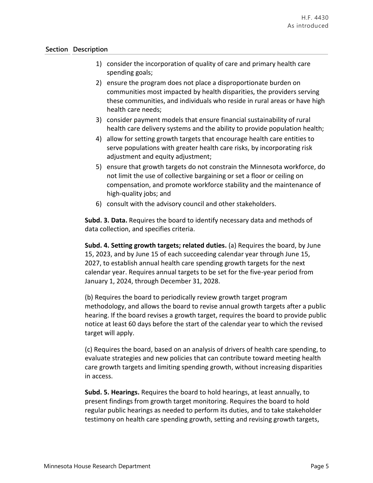- 1) consider the incorporation of quality of care and primary health care spending goals;
- 2) ensure the program does not place a disproportionate burden on communities most impacted by health disparities, the providers serving these communities, and individuals who reside in rural areas or have high health care needs;
- 3) consider payment models that ensure financial sustainability of rural health care delivery systems and the ability to provide population health;
- 4) allow for setting growth targets that encourage health care entities to serve populations with greater health care risks, by incorporating risk adjustment and equity adjustment;
- 5) ensure that growth targets do not constrain the Minnesota workforce, do not limit the use of collective bargaining or set a floor or ceiling on compensation, and promote workforce stability and the maintenance of high-quality jobs; and
- 6) consult with the advisory council and other stakeholders.

**Subd. 3. Data.** Requires the board to identify necessary data and methods of data collection, and specifies criteria.

**Subd. 4. Setting growth targets; related duties.** (a) Requires the board, by June 15, 2023, and by June 15 of each succeeding calendar year through June 15, 2027, to establish annual health care spending growth targets for the next calendar year. Requires annual targets to be set for the five-year period from January 1, 2024, through December 31, 2028.

(b) Requires the board to periodically review growth target program methodology, and allows the board to revise annual growth targets after a public hearing. If the board revises a growth target, requires the board to provide public notice at least 60 days before the start of the calendar year to which the revised target will apply.

(c) Requires the board, based on an analysis of drivers of health care spending, to evaluate strategies and new policies that can contribute toward meeting health care growth targets and limiting spending growth, without increasing disparities in access.

**Subd. 5. Hearings.** Requires the board to hold hearings, at least annually, to present findings from growth target monitoring. Requires the board to hold regular public hearings as needed to perform its duties, and to take stakeholder testimony on health care spending growth, setting and revising growth targets,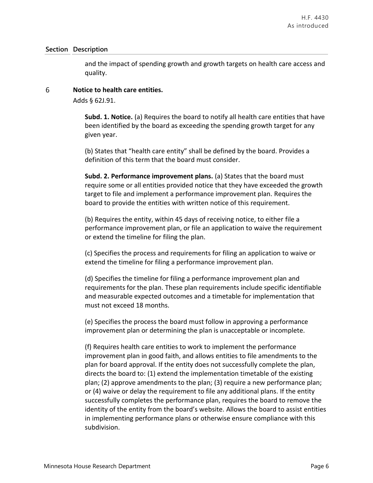and the impact of spending growth and growth targets on health care access and quality.

#### 6 **Notice to health care entities.**

Adds § 62J.91.

**Subd. 1. Notice.** (a) Requires the board to notify all health care entities that have been identified by the board as exceeding the spending growth target for any given year.

(b) States that "health care entity" shall be defined by the board. Provides a definition of this term that the board must consider.

**Subd. 2. Performance improvement plans.** (a) States that the board must require some or all entities provided notice that they have exceeded the growth target to file and implement a performance improvement plan. Requires the board to provide the entities with written notice of this requirement.

(b) Requires the entity, within 45 days of receiving notice, to either file a performance improvement plan, or file an application to waive the requirement or extend the timeline for filing the plan.

(c) Specifies the process and requirements for filing an application to waive or extend the timeline for filing a performance improvement plan.

(d) Specifies the timeline for filing a performance improvement plan and requirements for the plan. These plan requirements include specific identifiable and measurable expected outcomes and a timetable for implementation that must not exceed 18 months.

(e) Specifies the process the board must follow in approving a performance improvement plan or determining the plan is unacceptable or incomplete.

(f) Requires health care entities to work to implement the performance improvement plan in good faith, and allows entities to file amendments to the plan for board approval. If the entity does not successfully complete the plan, directs the board to: (1) extend the implementation timetable of the existing plan; (2) approve amendments to the plan; (3) require a new performance plan; or (4) waive or delay the requirement to file any additional plans. If the entity successfully completes the performance plan, requires the board to remove the identity of the entity from the board's website. Allows the board to assist entities in implementing performance plans or otherwise ensure compliance with this subdivision.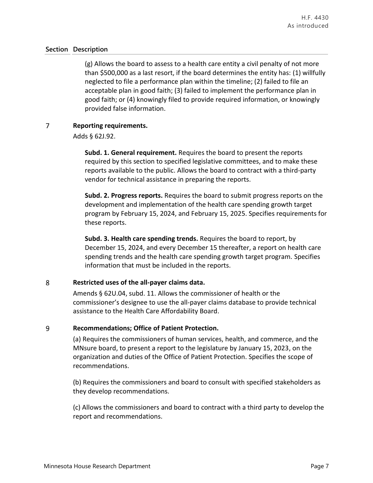(g) Allows the board to assess to a health care entity a civil penalty of not more than \$500,000 as a last resort, if the board determines the entity has: (1) willfully neglected to file a performance plan within the timeline; (2) failed to file an acceptable plan in good faith; (3) failed to implement the performance plan in good faith; or (4) knowingly filed to provide required information, or knowingly provided false information.

### $\overline{7}$ **Reporting requirements.**

Adds § 62J.92.

**Subd. 1. General requirement.** Requires the board to present the reports required by this section to specified legislative committees, and to make these reports available to the public. Allows the board to contract with a third-party vendor for technical assistance in preparing the reports.

**Subd. 2. Progress reports.** Requires the board to submit progress reports on the development and implementation of the health care spending growth target program by February 15, 2024, and February 15, 2025. Specifies requirements for these reports.

**Subd. 3. Health care spending trends.** Requires the board to report, by December 15, 2024, and every December 15 thereafter, a report on health care spending trends and the health care spending growth target program. Specifies information that must be included in the reports.

#### 8 **Restricted uses of the all-payer claims data.**

Amends § 62U.04, subd. 11. Allows the commissioner of health or the commissioner's designee to use the all-payer claims database to provide technical assistance to the Health Care Affordability Board.

#### 9 **Recommendations; Office of Patient Protection.**

(a) Requires the commissioners of human services, health, and commerce, and the MNsure board, to present a report to the legislature by January 15, 2023, on the organization and duties of the Office of Patient Protection. Specifies the scope of recommendations.

(b) Requires the commissioners and board to consult with specified stakeholders as they develop recommendations.

(c) Allows the commissioners and board to contract with a third party to develop the report and recommendations.